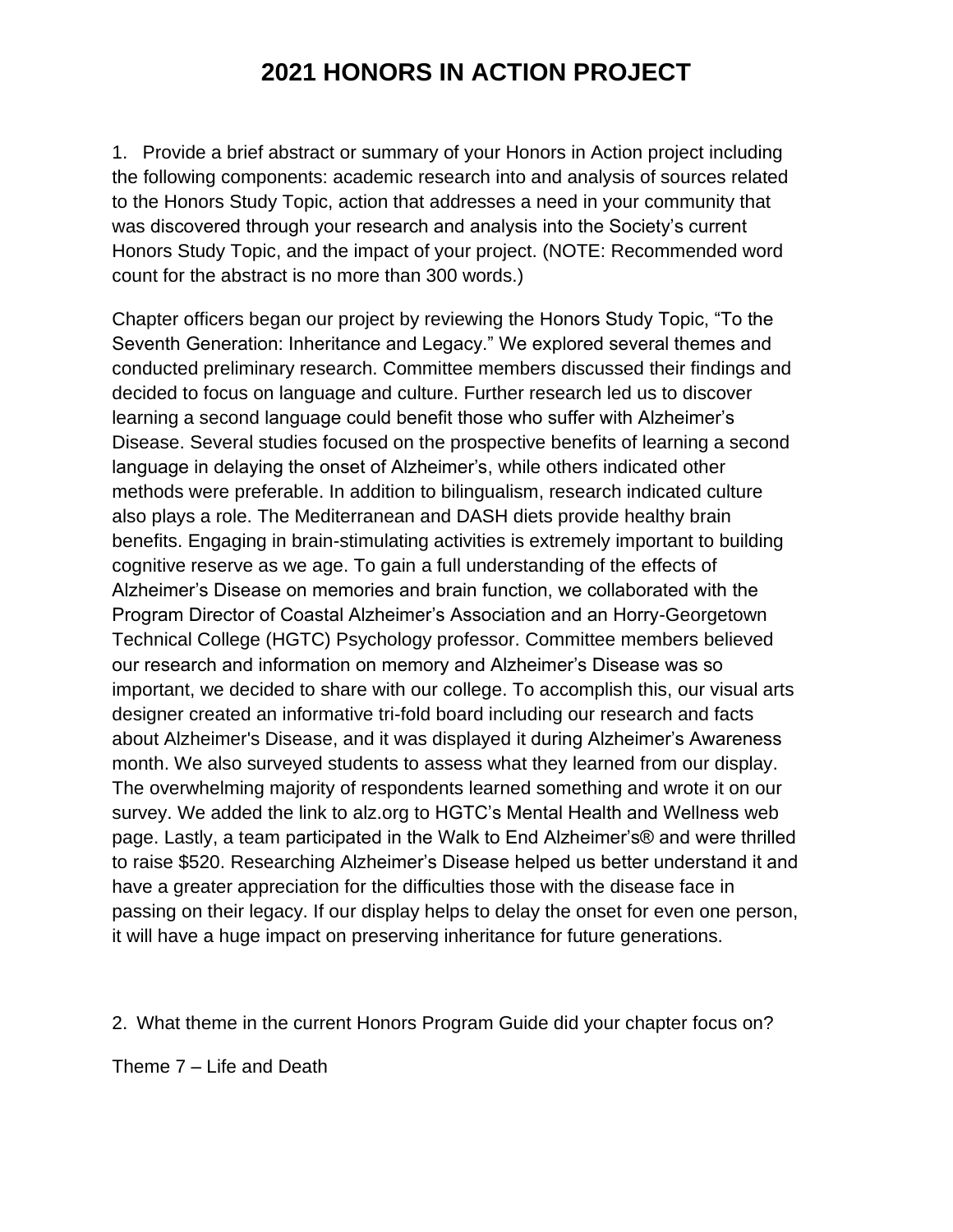1. Provide a brief abstract or summary of your Honors in Action project including the following components: academic research into and analysis of sources related to the Honors Study Topic, action that addresses a need in your community that was discovered through your research and analysis into the Society's current Honors Study Topic, and the impact of your project. (NOTE: Recommended word count for the abstract is no more than 300 words.)

Chapter officers began our project by reviewing the Honors Study Topic, "To the Seventh Generation: Inheritance and Legacy." We explored several themes and conducted preliminary research. Committee members discussed their findings and decided to focus on language and culture. Further research led us to discover learning a second language could benefit those who suffer with Alzheimer's Disease. Several studies focused on the prospective benefits of learning a second language in delaying the onset of Alzheimer's, while others indicated other methods were preferable. In addition to bilingualism, research indicated culture also plays a role. The Mediterranean and DASH diets provide healthy brain benefits. Engaging in brain-stimulating activities is extremely important to building cognitive reserve as we age. To gain a full understanding of the effects of Alzheimer's Disease on memories and brain function, we collaborated with the Program Director of Coastal Alzheimer's Association and an Horry-Georgetown Technical College (HGTC) Psychology professor. Committee members believed our research and information on memory and Alzheimer's Disease was so important, we decided to share with our college. To accomplish this, our visual arts designer created an informative tri-fold board including our research and facts about Alzheimer's Disease, and it was displayed it during Alzheimer's Awareness month. We also surveyed students to assess what they learned from our display. The overwhelming majority of respondents learned something and wrote it on our survey. We added the link to alz.org to HGTC's Mental Health and Wellness web page. Lastly, a team participated in the Walk to End Alzheimer's® and were thrilled to raise \$520. Researching Alzheimer's Disease helped us better understand it and have a greater appreciation for the difficulties those with the disease face in passing on their legacy. If our display helps to delay the onset for even one person, it will have a huge impact on preserving inheritance for future generations.

2. What theme in the current Honors Program Guide did your chapter focus on?

Theme 7 – Life and Death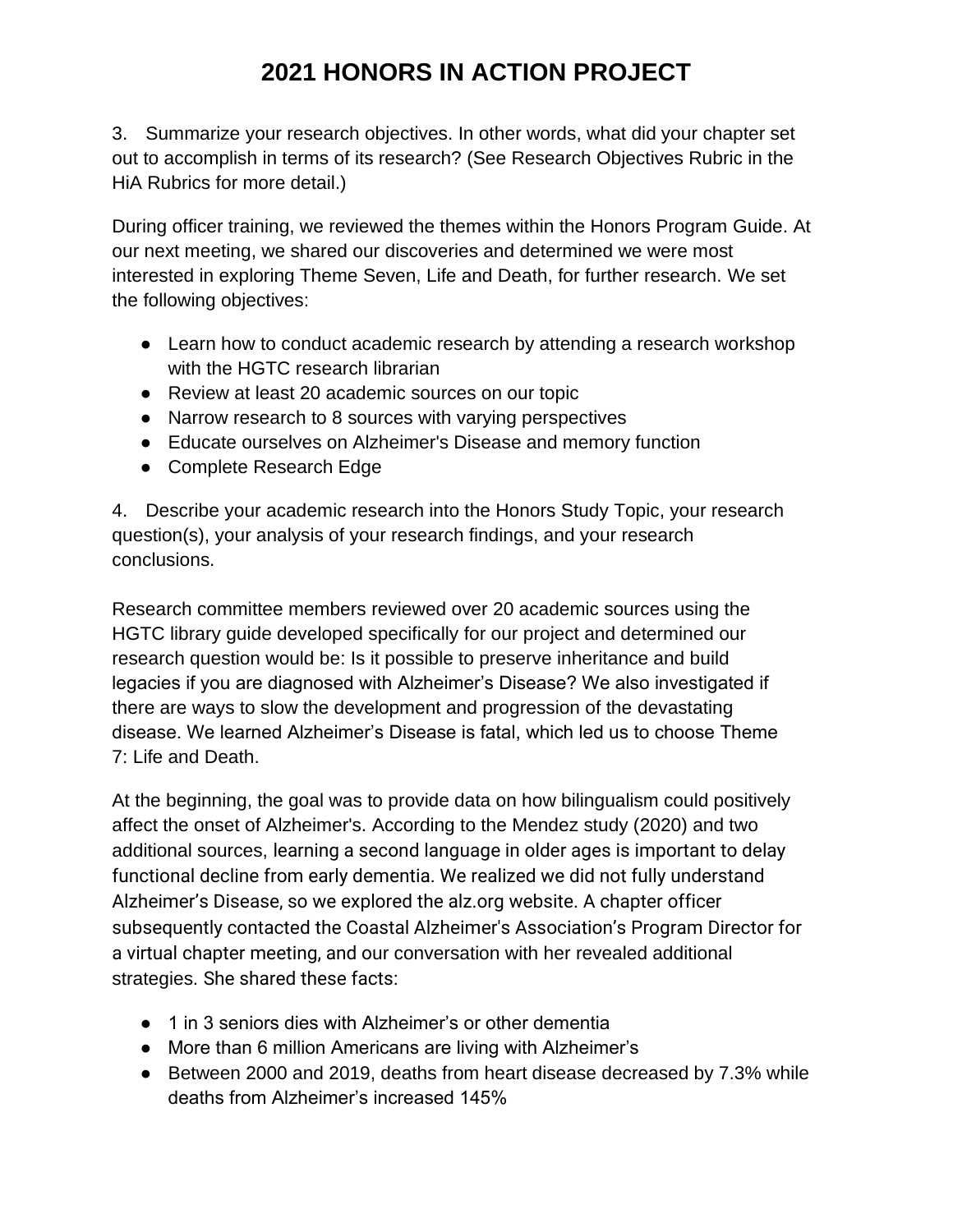3. Summarize your research objectives. In other words, what did your chapter set out to accomplish in terms of its research? (See Research Objectives Rubric in the HiA Rubrics for more detail.)

During officer training, we reviewed the themes within the Honors Program Guide. At our next meeting, we shared our discoveries and determined we were most interested in exploring Theme Seven, Life and Death, for further research. We set the following objectives:

- Learn how to conduct academic research by attending a research workshop with the HGTC research librarian
- Review at least 20 academic sources on our topic
- Narrow research to 8 sources with varying perspectives
- Educate ourselves on Alzheimer's Disease and memory function
- Complete Research Edge

4. Describe your academic research into the Honors Study Topic, your research question(s), your analysis of your research findings, and your research conclusions.

Research committee members reviewed over 20 academic sources using the HGTC library guide developed specifically for our project and determined our research question would be: Is it possible to preserve inheritance and build legacies if you are diagnosed with Alzheimer's Disease? We also investigated if there are ways to slow the development and progression of the devastating disease. We learned Alzheimer's Disease is fatal, which led us to choose Theme 7: Life and Death.

At the beginning, the goal was to provide data on how bilingualism could positively affect the onset of Alzheimer's. According to the Mendez study (2020) and two additional sources, learning a second language in older ages is important to delay functional decline from early dementia. We realized we did not fully understand Alzheimer's Disease, so we explored the alz.org website. A chapter officer subsequently contacted the Coastal Alzheimer's Association's Program Director for a virtual chapter meeting, and our conversation with her revealed additional strategies. She shared these facts:

- 1 in 3 seniors dies with Alzheimer's or other dementia
- More than 6 million Americans are living with Alzheimer's
- Between 2000 and 2019, deaths from heart disease decreased by 7.3% while deaths from Alzheimer's increased 145%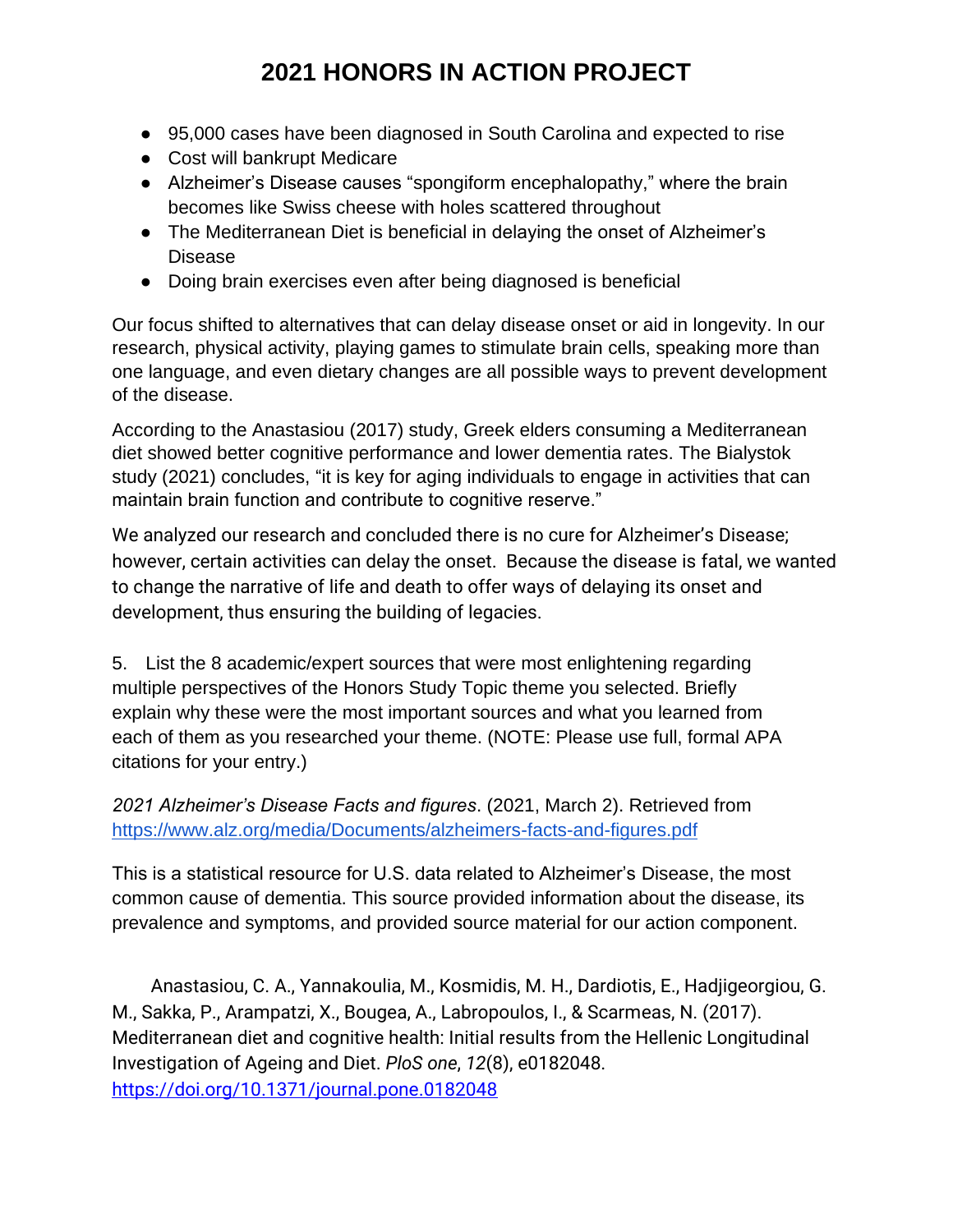- 95,000 cases have been diagnosed in South Carolina and expected to rise
- Cost will bankrupt Medicare
- Alzheimer's Disease causes "spongiform encephalopathy," where the brain becomes like Swiss cheese with holes scattered throughout
- The Mediterranean Diet is beneficial in delaying the onset of Alzheimer's Disease
- Doing brain exercises even after being diagnosed is beneficial

Our focus shifted to alternatives that can delay disease onset or aid in longevity. In our research, physical activity, playing games to stimulate brain cells, speaking more than one language, and even dietary changes are all possible ways to prevent development of the disease.

According to the Anastasiou (2017) study, Greek elders consuming a Mediterranean diet showed better cognitive performance and lower dementia rates. The Bialystok study (2021) concludes, "it is key for aging individuals to engage in activities that can maintain brain function and contribute to cognitive reserve."

We analyzed our research and concluded there is no cure for Alzheimer's Disease; however, certain activities can delay the onset. Because the disease is fatal, we wanted to change the narrative of life and death to offer ways of delaying its onset and development, thus ensuring the building of legacies.

5. List the 8 academic/expert sources that were most enlightening regarding multiple perspectives of the Honors Study Topic theme you selected. Briefly explain why these were the most important sources and what you learned from each of them as you researched your theme. (NOTE: Please use full, formal APA citations for your entry.)

*2021 Alzheimer's Disease Facts and figures*. (2021, March 2). Retrieved from <https://www.alz.org/media/Documents/alzheimers-facts-and-figures.pdf>

This is a statistical resource for U.S. data related to Alzheimer's Disease, the most common cause of dementia. This source provided information about the disease, its prevalence and symptoms, and provided source material for our action component.

Anastasiou, C. A., Yannakoulia, M., Kosmidis, M. H., Dardiotis, E., Hadjigeorgiou, G. M., Sakka, P., Arampatzi, X., Bougea, A., Labropoulos, I., & Scarmeas, N. (2017). Mediterranean diet and cognitive health: Initial results from the Hellenic Longitudinal Investigation of Ageing and Diet. *PloS one*, *12*(8), e0182048. <https://doi.org/10.1371/journal.pone.0182048>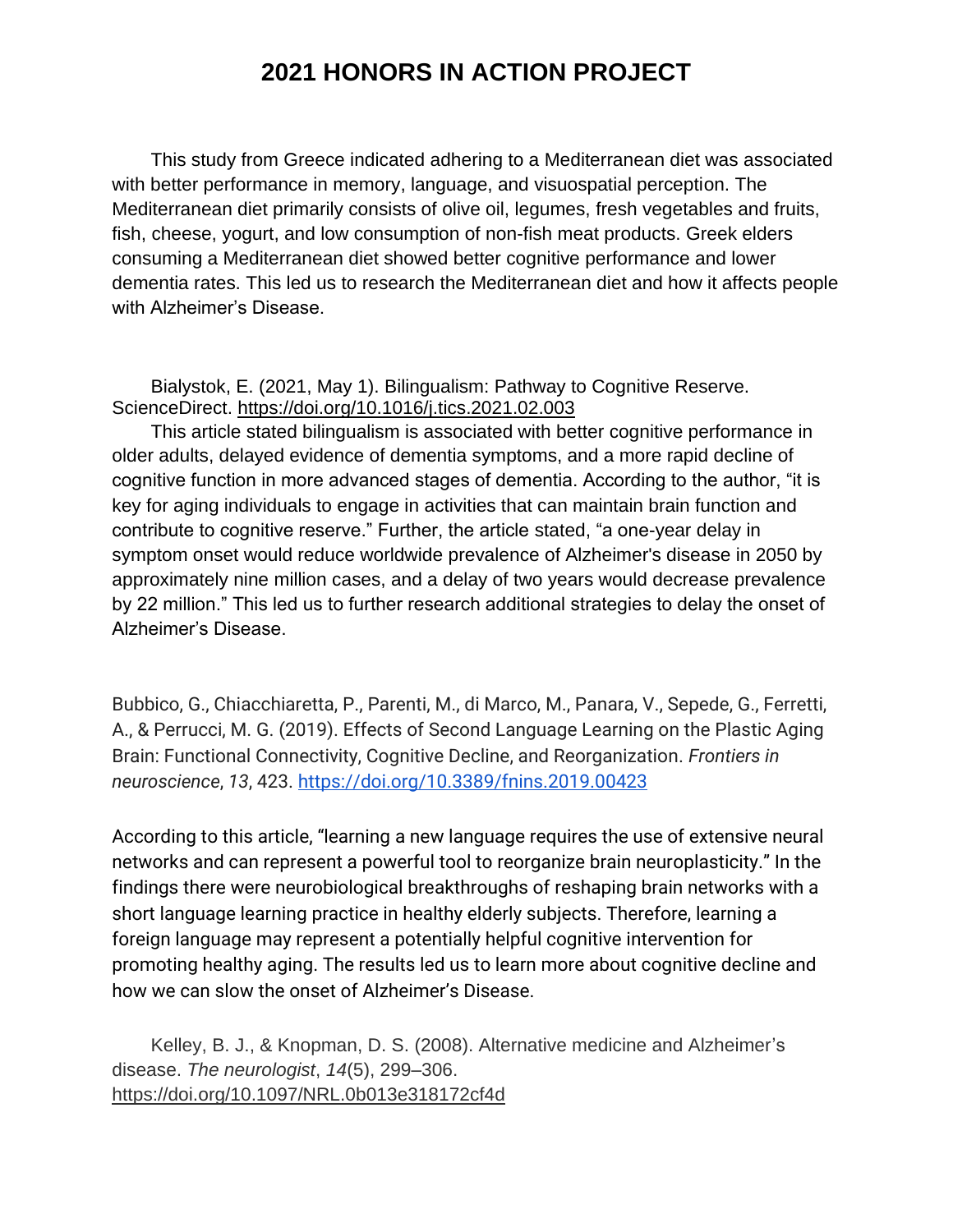This study from Greece indicated adhering to a Mediterranean diet was associated with better performance in memory, language, and visuospatial perception. The Mediterranean diet primarily consists of olive oil, legumes, fresh vegetables and fruits, fish, cheese, yogurt, and low consumption of non-fish meat products. Greek elders consuming a Mediterranean diet showed better cognitive performance and lower dementia rates. This led us to research the Mediterranean diet and how it affects people with Alzheimer's Disease.

Bialystok, E. (2021, May 1). Bilingualism: Pathway to Cognitive Reserve. ScienceDirect. https://doi.org/10.1016/j.tics.2021.02.003

This article stated bilingualism is associated with better cognitive performance in older adults, delayed evidence of dementia symptoms, and a more rapid decline of cognitive function in more advanced stages of dementia. According to the author, "it is key for aging individuals to engage in activities that can maintain brain function and contribute to cognitive reserve." Further, the article stated, "a one-year delay in symptom onset would reduce worldwide prevalence of Alzheimer's disease in 2050 by approximately nine million cases, and a delay of two years would decrease prevalence by 22 million." This led us to further research additional strategies to delay the onset of Alzheimer's Disease.

Bubbico, G., Chiacchiaretta, P., Parenti, M., di Marco, M., Panara, V., Sepede, G., Ferretti, A., & Perrucci, M. G. (2019). Effects of Second Language Learning on the Plastic Aging Brain: Functional Connectivity, Cognitive Decline, and Reorganization. *Frontiers in neuroscience*, *13*, 423.<https://doi.org/10.3389/fnins.2019.00423>

According to this article, "learning a new language requires the use of extensive neural networks and can represent a powerful tool to reorganize brain neuroplasticity." In the findings there were neurobiological breakthroughs of reshaping brain networks with a short language learning practice in healthy elderly subjects. Therefore, learning a foreign language may represent a potentially helpful cognitive intervention for promoting healthy aging. The results led us to learn more about cognitive decline and how we can slow the onset of Alzheimer's Disease.

Kelley, B. J., & Knopman, D. S. (2008). Alternative medicine and Alzheimer's disease. *The neurologist*, *14*(5), 299–306. https://doi.org/10.1097/NRL.0b013e318172cf4d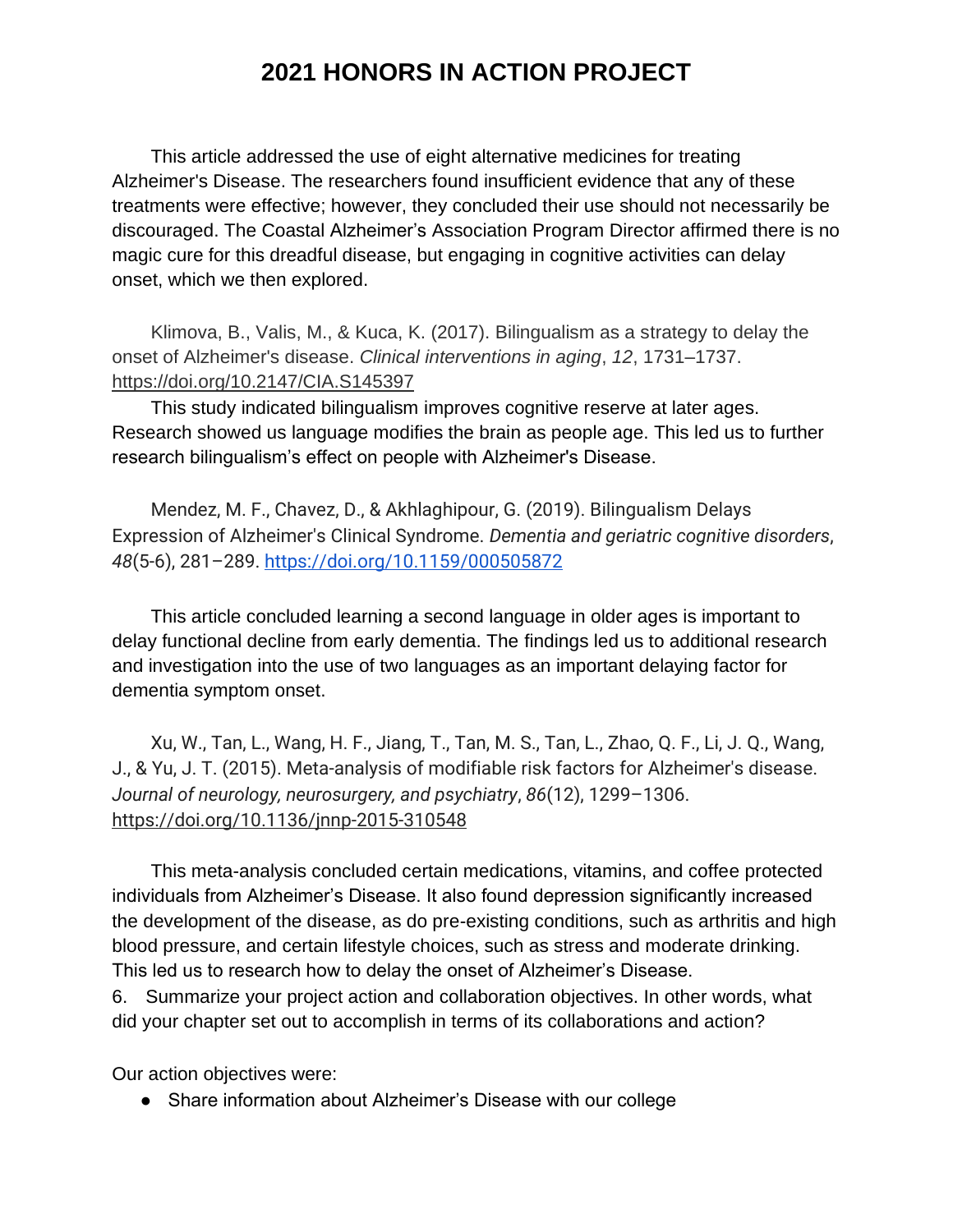This article addressed the use of eight alternative medicines for treating Alzheimer's Disease. The researchers found insufficient evidence that any of these treatments were effective; however, they concluded their use should not necessarily be discouraged. The Coastal Alzheimer's Association Program Director affirmed there is no magic cure for this dreadful disease, but engaging in cognitive activities can delay onset, which we then explored.

Klimova, B., Valis, M., & Kuca, K. (2017). Bilingualism as a strategy to delay the onset of Alzheimer's disease. *Clinical interventions in aging*, *12*, 1731–1737. https://doi.org/10.2147/CIA.S145397

This study indicated bilingualism improves cognitive reserve at later ages. Research showed us language modifies the brain as people age. This led us to further research bilingualism's effect on people with Alzheimer's Disease.

Mendez, M. F., Chavez, D., & Akhlaghipour, G. (2019). Bilingualism Delays Expression of Alzheimer's Clinical Syndrome. *Dementia and geriatric cognitive disorders*, *48*(5-6), 281–289.<https://doi.org/10.1159/000505872>

This article concluded learning a second language in older ages is important to delay functional decline from early dementia. The findings led us to additional research and investigation into the use of two languages as an important delaying factor for dementia symptom onset.

Xu, W., Tan, L., Wang, H. F., Jiang, T., Tan, M. S., Tan, L., Zhao, Q. F., Li, J. Q., Wang, J., & Yu, J. T. (2015). Meta-analysis of modifiable risk factors for Alzheimer's disease. *Journal of neurology, neurosurgery, and psychiatry*, *86*(12), 1299–1306. https://doi.org/10.1136/jnnp-2015-310548

This meta-analysis concluded certain medications, vitamins, and coffee protected individuals from Alzheimer's Disease. It also found depression significantly increased the development of the disease, as do pre-existing conditions, such as arthritis and high blood pressure, and certain lifestyle choices, such as stress and moderate drinking. This led us to research how to delay the onset of Alzheimer's Disease.

6. Summarize your project action and collaboration objectives. In other words, what did your chapter set out to accomplish in terms of its collaborations and action?

Our action objectives were:

● Share information about Alzheimer's Disease with our college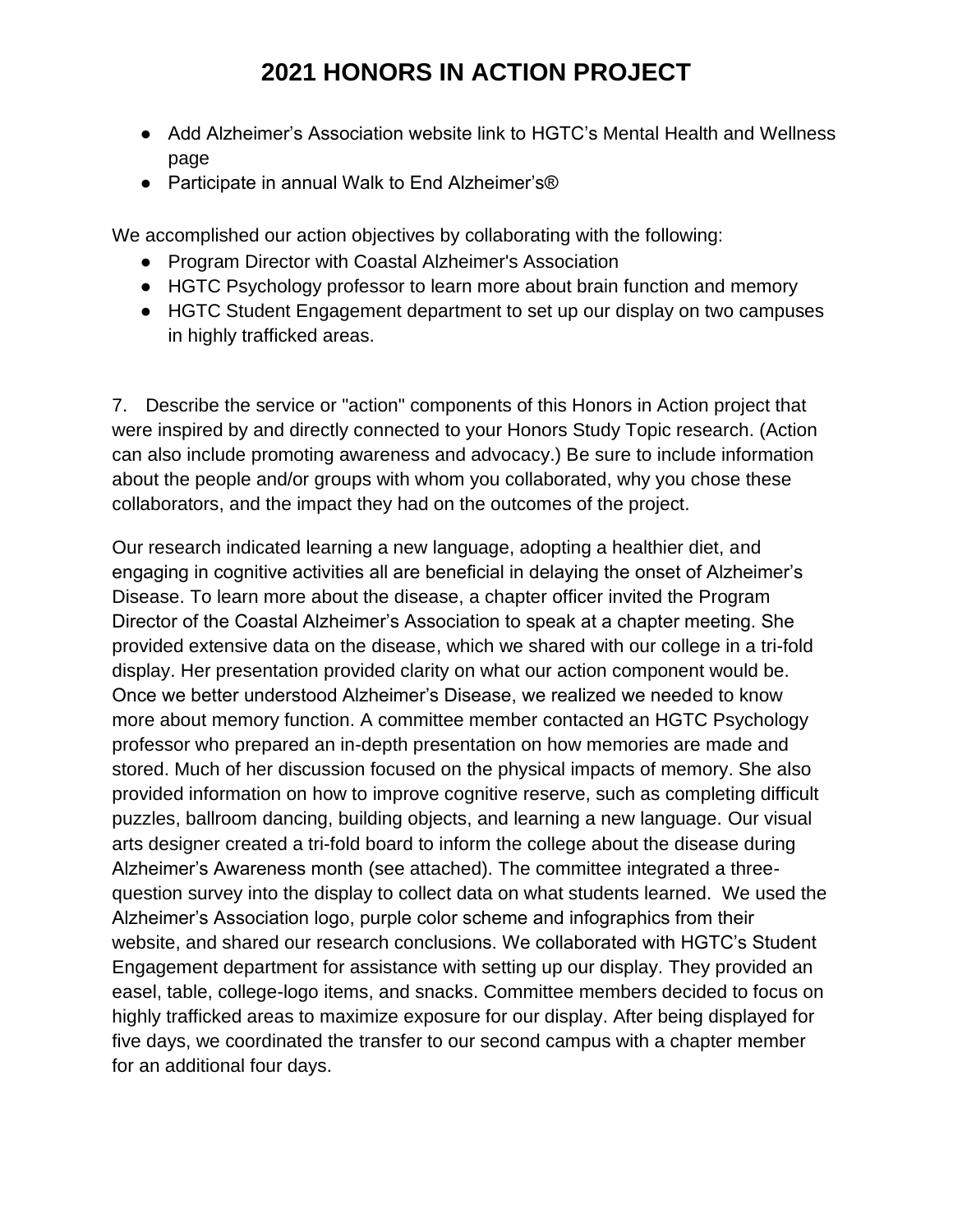- Add Alzheimer's Association website link to HGTC's Mental Health and Wellness page
- Participate in annual Walk to End Alzheimer's<sup>®</sup>

We accomplished our action objectives by collaborating with the following:

- Program Director with Coastal Alzheimer's Association
- HGTC Psychology professor to learn more about brain function and memory
- HGTC Student Engagement department to set up our display on two campuses in highly trafficked areas.

7. Describe the service or "action" components of this Honors in Action project that were inspired by and directly connected to your Honors Study Topic research. (Action can also include promoting awareness and advocacy.) Be sure to include information about the people and/or groups with whom you collaborated, why you chose these collaborators, and the impact they had on the outcomes of the project.

Our research indicated learning a new language, adopting a healthier diet, and engaging in cognitive activities all are beneficial in delaying the onset of Alzheimer's Disease. To learn more about the disease, a chapter officer invited the Program Director of the Coastal Alzheimer's Association to speak at a chapter meeting. She provided extensive data on the disease, which we shared with our college in a tri-fold display. Her presentation provided clarity on what our action component would be. Once we better understood Alzheimer's Disease, we realized we needed to know more about memory function. A committee member contacted an HGTC Psychology professor who prepared an in-depth presentation on how memories are made and stored. Much of her discussion focused on the physical impacts of memory. She also provided information on how to improve cognitive reserve, such as completing difficult puzzles, ballroom dancing, building objects, and learning a new language. Our visual arts designer created a tri-fold board to inform the college about the disease during Alzheimer's Awareness month (see attached). The committee integrated a threequestion survey into the display to collect data on what students learned. We used the Alzheimer's Association logo, purple color scheme and infographics from their website, and shared our research conclusions. We collaborated with HGTC's Student Engagement department for assistance with setting up our display. They provided an easel, table, college-logo items, and snacks. Committee members decided to focus on highly trafficked areas to maximize exposure for our display. After being displayed for five days, we coordinated the transfer to our second campus with a chapter member for an additional four days.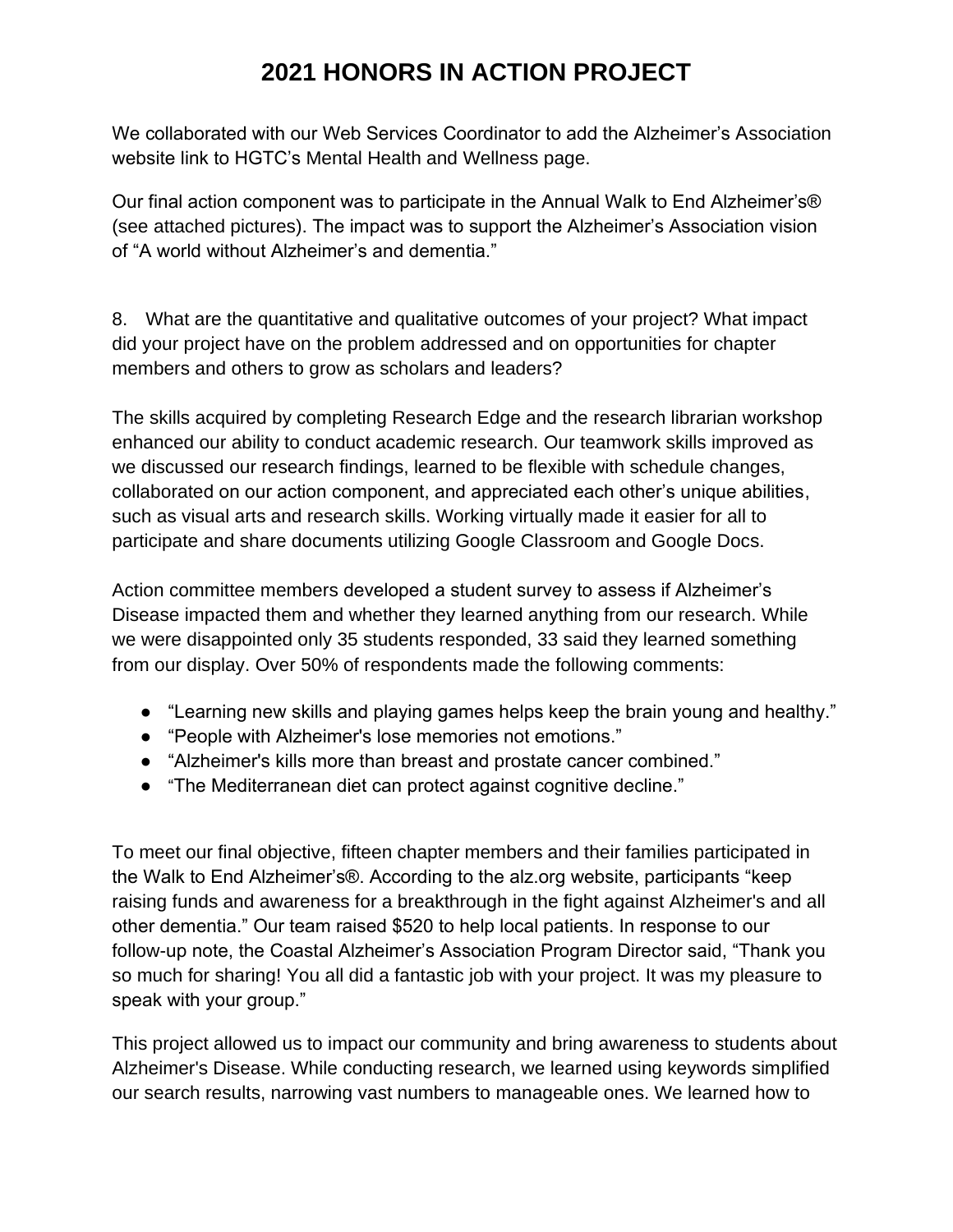We collaborated with our Web Services Coordinator to add the Alzheimer's Association website link to HGTC's Mental Health and Wellness page.

Our final action component was to participate in the Annual Walk to End Alzheimer's® (see attached pictures). The impact was to support the Alzheimer's Association vision of "A world without Alzheimer's and dementia."

8. What are the quantitative and qualitative outcomes of your project? What impact did your project have on the problem addressed and on opportunities for chapter members and others to grow as scholars and leaders?

The skills acquired by completing Research Edge and the research librarian workshop enhanced our ability to conduct academic research. Our teamwork skills improved as we discussed our research findings, learned to be flexible with schedule changes, collaborated on our action component, and appreciated each other's unique abilities, such as visual arts and research skills. Working virtually made it easier for all to participate and share documents utilizing Google Classroom and Google Docs.

Action committee members developed a student survey to assess if Alzheimer's Disease impacted them and whether they learned anything from our research. While we were disappointed only 35 students responded, 33 said they learned something from our display. Over 50% of respondents made the following comments:

- "Learning new skills and playing games helps keep the brain young and healthy."
- "People with Alzheimer's lose memories not emotions."
- "Alzheimer's kills more than breast and prostate cancer combined."
- "The Mediterranean diet can protect against cognitive decline."

To meet our final objective, fifteen chapter members and their families participated in the Walk to End Alzheimer's®. According to the alz.org website, participants "keep raising funds and awareness for a breakthrough in the fight against Alzheimer's and all other dementia." Our team raised \$520 to help local patients. In response to our follow-up note, the Coastal Alzheimer's Association Program Director said, "Thank you so much for sharing! You all did a fantastic job with your project. It was my pleasure to speak with your group."

This project allowed us to impact our community and bring awareness to students about Alzheimer's Disease. While conducting research, we learned using keywords simplified our search results, narrowing vast numbers to manageable ones. We learned how to